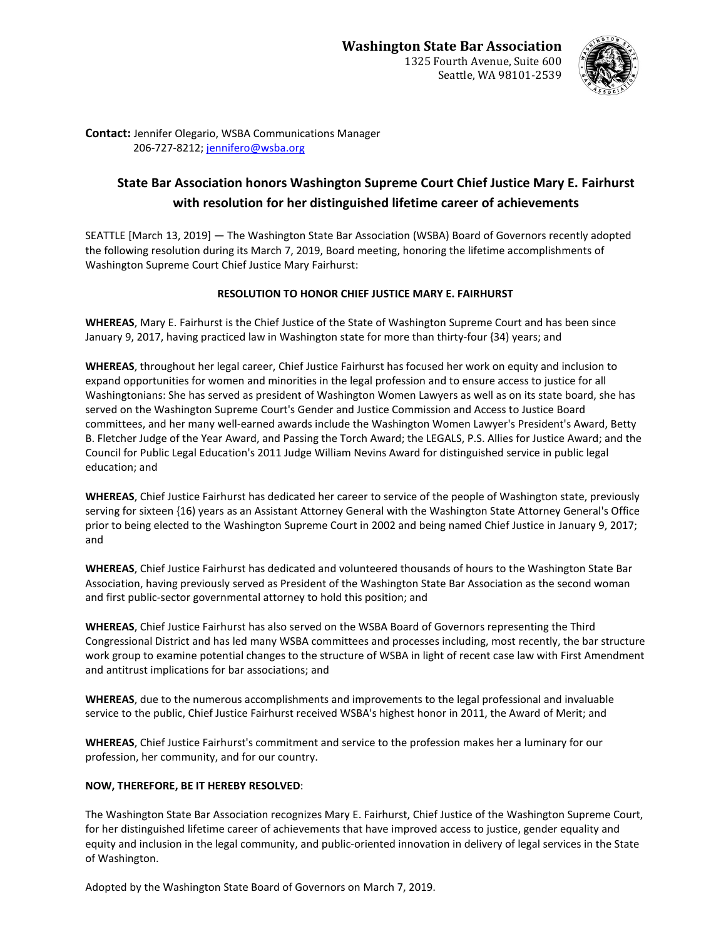

**Contact:** Jennifer Olegario, WSBA Communications Manager 206-727-8212; [jennifero@wsba.org](mailto:jennifero@wsba.org)

## **State Bar Association honors Washington Supreme Court Chief Justice Mary E. Fairhurst with resolution for her distinguished lifetime career of achievements**

SEATTLE [March 13, 2019] — The Washington State Bar Association (WSBA) Board of Governors recently adopted the following resolution during its March 7, 2019, Board meeting, honoring the lifetime accomplishments of Washington Supreme Court Chief Justice Mary Fairhurst:

## **RESOLUTION TO HONOR CHIEF JUSTICE MARY E. FAIRHURST**

**WHEREAS**, Mary E. Fairhurst is the Chief Justice of the State of Washington Supreme Court and has been since January 9, 2017, having practiced law in Washington state for more than thirty-four {34) years; and

**WHEREAS**, throughout her legal career, Chief Justice Fairhurst has focused her work on equity and inclusion to expand opportunities for women and minorities in the legal profession and to ensure access to justice for all Washingtonians: She has served as president of Washington Women Lawyers as well as on its state board, she has served on the Washington Supreme Court's Gender and Justice Commission and Access to Justice Board committees, and her many well-earned awards include the Washington Women Lawyer's President's Award, Betty B. Fletcher Judge of the Year Award, and Passing the Torch Award; the LEGALS, P.S. Allies for Justice Award; and the Council for Public Legal Education's 2011 Judge William Nevins Award for distinguished service in public legal education; and

**WHEREAS**, Chief Justice Fairhurst has dedicated her career to service of the people of Washington state, previously serving for sixteen {16) years as an Assistant Attorney General with the Washington State Attorney General's Office prior to being elected to the Washington Supreme Court in 2002 and being named Chief Justice in January 9, 2017; and

**WHEREAS**, Chief Justice Fairhurst has dedicated and volunteered thousands of hours to the Washington State Bar Association, having previously served as President of the Washington State Bar Association as the second woman and first public-sector governmental attorney to hold this position; and

**WHEREAS**, Chief Justice Fairhurst has also served on the WSBA Board of Governors representing the Third Congressional District and has led many WSBA committees and processes including, most recently, the bar structure work group to examine potential changes to the structure of WSBA in light of recent case law with First Amendment and antitrust implications for bar associations; and

**WHEREAS**, due to the numerous accomplishments and improvements to the legal professional and invaluable service to the public, Chief Justice Fairhurst received WSBA's highest honor in 2011, the Award of Merit; and

**WHEREAS**, Chief Justice Fairhurst's commitment and service to the profession makes her a luminary for our profession, her community, and for our country.

## **NOW, THEREFORE, BE IT HEREBY RESOLVED**:

The Washington State Bar Association recognizes Mary E. Fairhurst, Chief Justice of the Washington Supreme Court, for her distinguished lifetime career of achievements that have improved access to justice, gender equality and equity and inclusion in the legal community, and public-oriented innovation in delivery of legal services in the State of Washington.

Adopted by the Washington State Board of Governors on March 7, 2019.